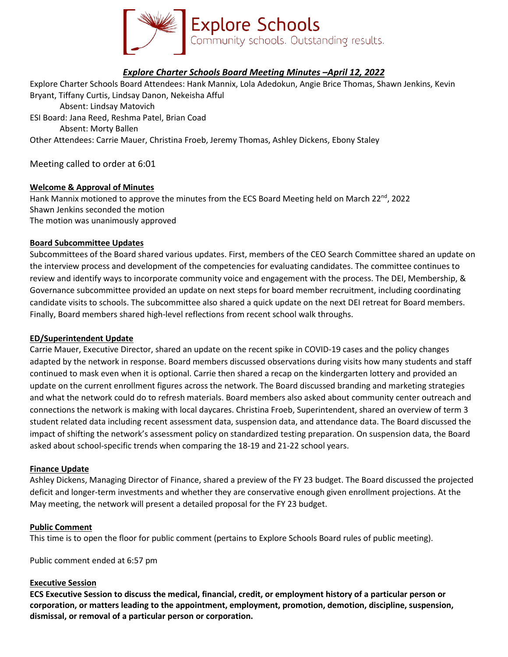

# *Explore Charter Schools Board Meeting Minutes –April 12, 2022*

Explore Charter Schools Board Attendees: Hank Mannix, Lola Adedokun, Angie Brice Thomas, Shawn Jenkins, Kevin Bryant, Tiffany Curtis, Lindsay Danon, Nekeisha Afful Absent: Lindsay Matovich ESI Board: Jana Reed, Reshma Patel, Brian Coad Absent: Morty Ballen Other Attendees: Carrie Mauer, Christina Froeb, Jeremy Thomas, Ashley Dickens, Ebony Staley

Meeting called to order at 6:01

## **Welcome & Approval of Minutes**

Hank Mannix motioned to approve the minutes from the ECS Board Meeting held on March 22<sup>nd</sup>, 2022 Shawn Jenkins seconded the motion The motion was unanimously approved

### **Board Subcommittee Updates**

Subcommittees of the Board shared various updates. First, members of the CEO Search Committee shared an update on the interview process and development of the competencies for evaluating candidates. The committee continues to review and identify ways to incorporate community voice and engagement with the process. The DEI, Membership, & Governance subcommittee provided an update on next steps for board member recruitment, including coordinating candidate visits to schools. The subcommittee also shared a quick update on the next DEI retreat for Board members. Finally, Board members shared high-level reflections from recent school walk throughs.

### **ED/Superintendent Update**

Carrie Mauer, Executive Director, shared an update on the recent spike in COVID-19 cases and the policy changes adapted by the network in response. Board members discussed observations during visits how many students and staff continued to mask even when it is optional. Carrie then shared a recap on the kindergarten lottery and provided an update on the current enrollment figures across the network. The Board discussed branding and marketing strategies and what the network could do to refresh materials. Board members also asked about community center outreach and connections the network is making with local daycares. Christina Froeb, Superintendent, shared an overview of term 3 student related data including recent assessment data, suspension data, and attendance data. The Board discussed the impact of shifting the network's assessment policy on standardized testing preparation. On suspension data, the Board asked about school-specific trends when comparing the 18-19 and 21-22 school years.

### **Finance Update**

Ashley Dickens, Managing Director of Finance, shared a preview of the FY 23 budget. The Board discussed the projected deficit and longer-term investments and whether they are conservative enough given enrollment projections. At the May meeting, the network will present a detailed proposal for the FY 23 budget.

### **Public Comment**

This time is to open the floor for public comment (pertains to Explore Schools Board rules of public meeting).

Public comment ended at 6:57 pm

### **Executive Session**

**ECS Executive Session to discuss the medical, financial, credit, or employment history of a particular person or corporation, or matters leading to the appointment, employment, promotion, demotion, discipline, suspension, dismissal, or removal of a particular person or corporation.**